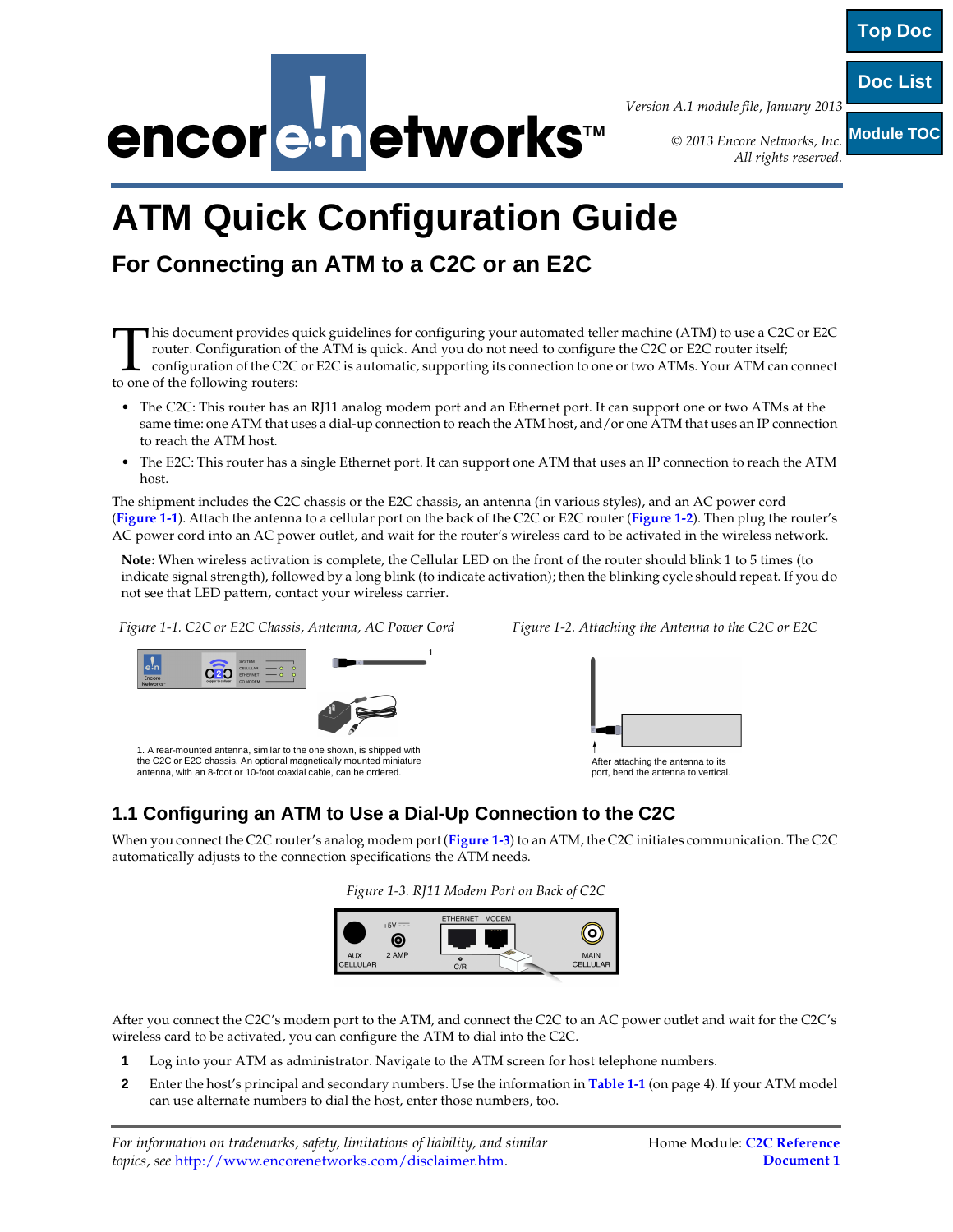

*Version A.1 module file, January 2013*

*© 2013 Encore Networks, Inc. All rights reserved.*

**Module TOC**

**Top Doc**

**Doc List**

# **ATM Quick Configuration Guide**

# **For Connecting an ATM to a C2C or an E2C**

his document provides quick guidelines for configuring your automated teller machine (ATM) to use a C2C or E2C router. Configuration of the ATM is quick. And you do not need to configure the C2C or E2C router itself; configuration of the C2C or E2C is automatic, supporting its connection to one or two ATMs. Your ATM can connect This document provides q<br>router. Configuration of the C2C<br>to one of the following routers:

- The C2C: This router has an RJ11 analog modem port and an Ethernet port. It can support one or two ATMs at the same time: one ATM that uses a dial-up connection to reach the ATM host, and/or one ATM that uses an IP connection to reach the ATM host.
- The E2C: This router has a single Ethernet port. It can support one ATM that uses an IP connection to reach the ATM host.

The shipment includes the C2C chassis or the E2C chassis, an antenna (in various styles), and an AC power cord (**Figure 1-1**). Attach the antenna to a cellular port on the back of the C2C or E2C router (**Figure 1-2**). Then plug the router's AC power cord into an AC power outlet, and wait for the router's wireless card to be activated in the wireless network.

**Note:** When wireless activation is complete, the Cellular LED on the front of the router should blink 1 to 5 times (to indicate signal strength), followed by a long blink (to indicate activation); then the blinking cycle should repeat. If you do not see that LED pattern, contact your wireless carrier.

*Figure 1-1. C2C or E2C Chassis, Antenna, AC Power Cord* 



the C2C or E2C chassis. An optional magnetically mounted miniature antenna, with an 8-foot or 10-foot coaxial cable, can be ordered.

| Figure 1-2. Attaching the Antenna to the C2C or E2C |  |  |  |  |
|-----------------------------------------------------|--|--|--|--|
|-----------------------------------------------------|--|--|--|--|



After attaching the antenna to its port, bend the antenna to vertical

# **1.1 Configuring an ATM to Use a Dial-Up Connection to the C2C**

When you connect the C2C router's analog modem port (**Figure 1-3**) to an ATM, the C2C initiates communication. The C2C automatically adjusts to the connection specifications the ATM needs.

|  | Figure 1-3. RJ11 Modem Port on Back of C2C |  |  |
|--|--------------------------------------------|--|--|
|  |                                            |  |  |



After you connect the C2C's modem port to the ATM, and connect the C2C to an AC power outlet and wait for the C2C's wireless card to be activated, you can configure the ATM to dial into the C2C.

- **1** Log into your ATM as administrator. Navigate to the ATM screen for host telephone numbers.
- **2** Enter the host's principal and secondary numbers. Use the information in **Table 1-1** (on page 4). If your ATM model can use alternate numbers to dial the host, enter those numbers, too.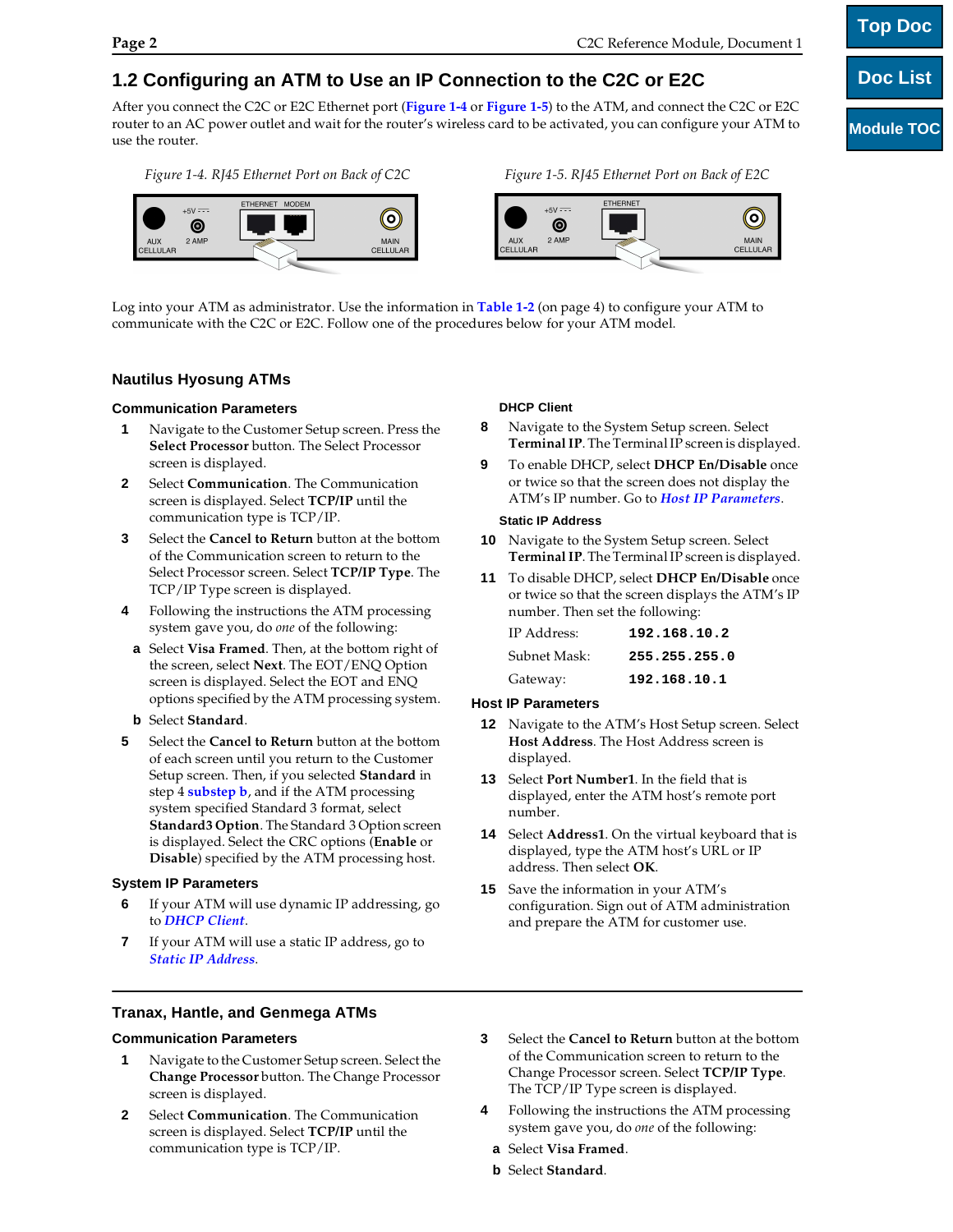# **1.2 Configuring an ATM to Use an IP Connection to the C2C or E2C**

After you connect the C2C or E2C Ethernet port (**Figure 1-4** or **Figure 1-5**) to the ATM, and connect the C2C or E2C router to an AC power outlet and wait for the router's wireless card to be activated, you can configure your ATM to use the router.

*Figure 1-4. RJ45 Ethernet Port on Back of C2C Figure 1-5. RJ45 Ethernet Port on Back of E2C*



Log into your ATM as administrator. Use the information in **Table 1-2** (on page 4) to configure your ATM to communicate with the C2C or E2C. Follow one of the procedures below for your ATM model.

# **Nautilus Hyosung ATMs**

## **Communication Parameters**

- **1** Navigate to the Customer Setup screen. Press the **Select Processor** button. The Select Processor screen is displayed.
- **2** Select **Communication**. The Communication screen is displayed. Select **TCP/IP** until the communication type is TCP/IP.
- **3** Select the **Cancel to Return** button at the bottom of the Communication screen to return to the Select Processor screen. Select **TCP/IP Type**. The TCP/IP Type screen is displayed.
- **4** Following the instructions the ATM processing system gave you, do *one* of the following:
- **a** Select **Visa Framed**. Then, at the bottom right of the screen, select **Next**. The EOT/ENQ Option screen is displayed. Select the EOT and ENQ options specified by the ATM processing system.
- **b** Select **Standard**.
- **5** Select the **Cancel to Return** button at the bottom of each screen until you return to the Customer Setup screen. Then, if you selected **Standard** in step 4 **substep b**, and if the ATM processing system specified Standard 3 format, select **Standard3 Option**. The Standard 3 Option screen is displayed. Select the CRC options (**Enable** or **Disable**) specified by the ATM processing host.

# **System IP Parameters**

- **6** If your ATM will use dynamic IP addressing, go to *DHCP Client*.
- **7** If your ATM will use a static IP address, go to *Static IP Address*.

# **DHCP Client**

- **8** Navigate to the System Setup screen. Select **Terminal IP**. The Terminal IP screen is displayed.
- **9** To enable DHCP, select **DHCP En/Disable** once or twice so that the screen does not display the ATM's IP number. Go to *Host IP Parameters*.

#### **Static IP Address**

- **10** Navigate to the System Setup screen. Select **Terminal IP**. The Terminal IP screen is displayed.
- **11** To disable DHCP, select **DHCP En/Disable** once or twice so that the screen displays the ATM's IP number. Then set the following:

| IP Address:  | 192.168.10.2  |
|--------------|---------------|
| Subnet Mask: | 255.255.255.0 |
| Gateway:     | 192.168.10.1  |

#### **Host IP Parameters**

- **12** Navigate to the ATM's Host Setup screen. Select **Host Address**. The Host Address screen is displayed.
- **13** Select **Port Number1**. In the field that is displayed, enter the ATM host's remote port number.
- **14** Select **Address1**. On the virtual keyboard that is displayed, type the ATM host's URL or IP address. Then select **OK**.
- **15** Save the information in your ATM's configuration. Sign out of ATM administration and prepare the ATM for customer use.

**Tranax, Hantle, and Genmega ATMs** 

# **Communication Parameters**

- **1** Navigate to the Customer Setup screen. Select the **Change Processor** button. The Change Processor screen is displayed.
- **2** Select **Communication**. The Communication screen is displayed. Select **TCP/IP** until the communication type is TCP/IP.
- **3** Select the **Cancel to Return** button at the bottom of the Communication screen to return to the Change Processor screen. Select **TCP/IP Type**. The TCP/IP Type screen is displayed.
- **4** Following the instructions the ATM processing system gave you, do *one* of the following:
- **a** Select **Visa Framed**.
- **b** Select **Standard**.

| <b>Top Doc</b>    |
|-------------------|
| <b>Doc List</b>   |
|                   |
| <b>Module TOC</b> |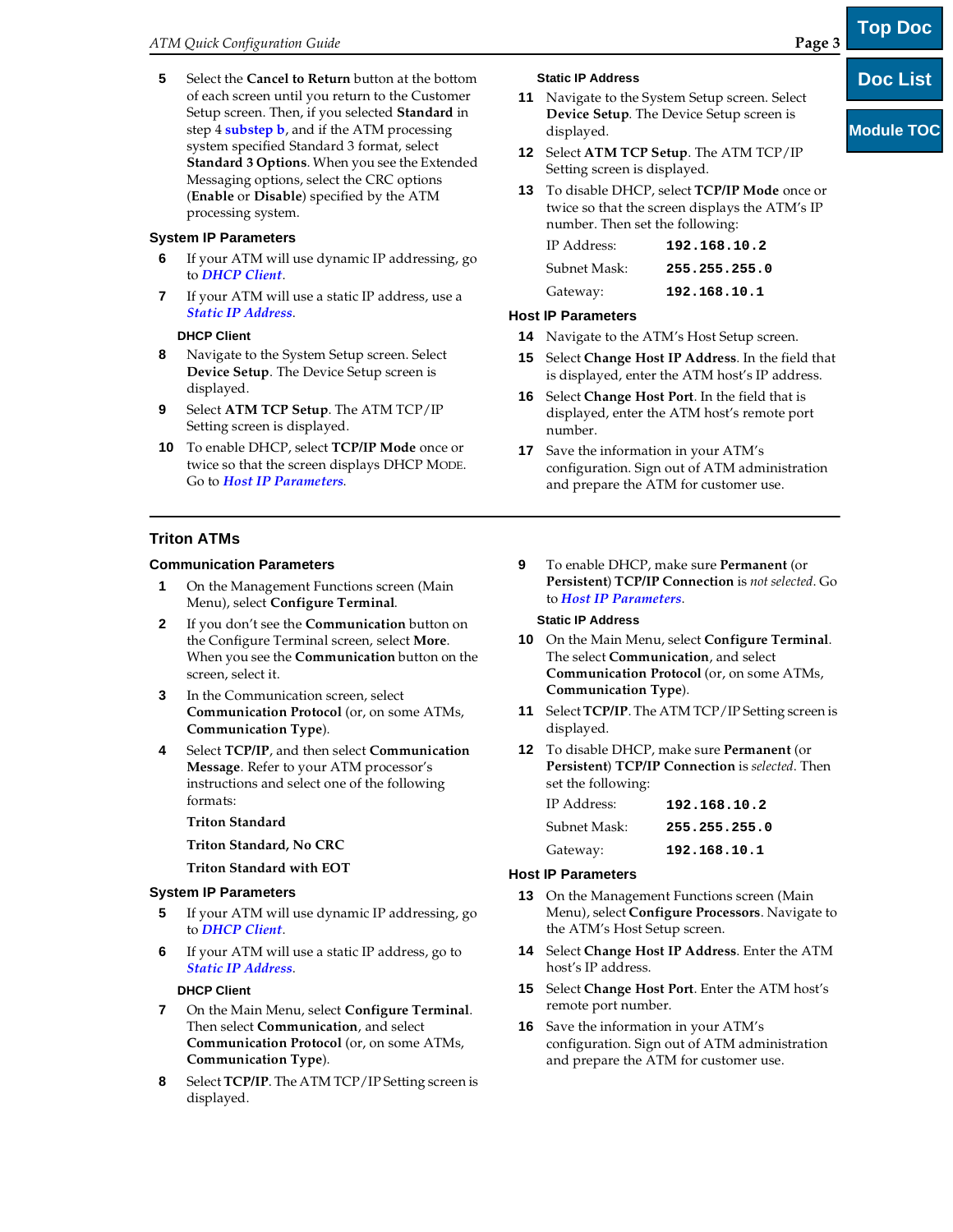**5** Select the **Cancel to Return** button at the bottom of each screen until you return to the Customer Setup screen. Then, if you selected **Standard** in step 4 **substep b**, and if the ATM processing system specified Standard 3 format, select **Standard 3 Options**. When you see the Extended Messaging options, select the CRC options (**Enable** or **Disable**) specified by the ATM processing system.

# **System IP Parameters**

- **6** If your ATM will use dynamic IP addressing, go to *DHCP Client*.
- **7** If your ATM will use a static IP address, use a *Static IP Address*.

# **DHCP Client**

- **8** Navigate to the System Setup screen. Select **Device Setup**. The Device Setup screen is displayed.
- **9** Select **ATM TCP Setup**. The ATM TCP/IP Setting screen is displayed.
- **10** To enable DHCP, select **TCP/IP Mode** once or twice so that the screen displays DHCP MODE. Go to *Host IP Parameters*.

# **Triton ATMs**

# **Communication Parameters**

- **1** On the Management Functions screen (Main Menu), select **Configure Terminal**.
- **2** If you don't see the **Communication** button on the Configure Terminal screen, select **More**. When you see the **Communication** button on the screen, select it.
- **3** In the Communication screen, select **Communication Protocol** (or, on some ATMs, **Communication Type**).
- **4** Select **TCP/IP**, and then select **Communication Message**. Refer to your ATM processor's instructions and select one of the following formats:

# **Triton Standard**

**Triton Standard, No CRC**

**Triton Standard with EOT**

# **System IP Parameters**

- **5** If your ATM will use dynamic IP addressing, go to *DHCP Client*.
- **6** If your ATM will use a static IP address, go to *Static IP Address*.

# **DHCP Client**

- **7** On the Main Menu, select **Configure Terminal**. Then select **Communication**, and select **Communication Protocol** (or, on some ATMs, **Communication Type**).
- **8** Select **TCP/IP**. The ATM TCP/IP Setting screen is displayed.

## **Static IP Address**

- **11** Navigate to the System Setup screen. Select **Device Setup**. The Device Setup screen is displayed.
- **12** Select **ATM TCP Setup**. The ATM TCP/IP Setting screen is displayed.
- **13** To disable DHCP, select **TCP/IP Mode** once or twice so that the screen displays the ATM's IP number. Then set the following:

| IP Address:  | 192.168.10.2  |
|--------------|---------------|
| Subnet Mask: | 255.255.255.0 |
| Gateway:     | 192.168.10.1  |

# **Host IP Parameters**

- **14** Navigate to the ATM's Host Setup screen.
- **15** Select **Change Host IP Address**. In the field that is displayed, enter the ATM host's IP address.
- **16** Select **Change Host Port**. In the field that is displayed, enter the ATM host's remote port number.
- **17** Save the information in your ATM's configuration. Sign out of ATM administration and prepare the ATM for customer use.
- **9** To enable DHCP, make sure **Permanent** (or **Persistent**) **TCP/IP Connection** is *not selected*. Go to *Host IP Parameters*.

#### **Static IP Address**

- **10** On the Main Menu, select **Configure Terminal**. The select **Communication**, and select **Communication Protocol** (or, on some ATMs, **Communication Type**).
- **11** Select **TCP/IP**. The ATM TCP/IP Setting screen is displayed.
- **12** To disable DHCP, make sure **Permanent** (or **Persistent**) **TCP/IP Connection** is *selected*. Then set the following:

| IP Address:  | 192.168.10.2  |
|--------------|---------------|
| Subnet Mask: | 255.255.255.0 |
| Gateway:     | 192.168.10.1  |

# **Host IP Parameters**

- **13** On the Management Functions screen (Main Menu), select **Configure Processors**. Navigate to the ATM's Host Setup screen.
- **14** Select **Change Host IP Address**. Enter the ATM host's IP address.
- **15** Select **Change Host Port**. Enter the ATM host's remote port number.
- **16** Save the information in your ATM's configuration. Sign out of ATM administration and prepare the ATM for customer use.

**Doc List**

**Top Doc**